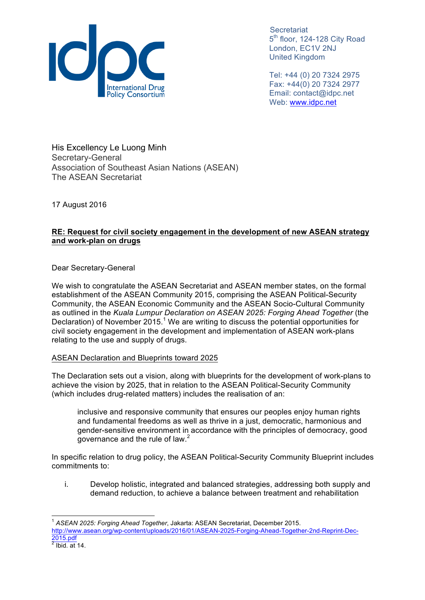

Tel: +44 (0) 20 7324 2975 Fax: +44(0) 20 7324 2977 Email: contact@idpc.net Web: www.idpc.net

His Excellency Le Luong Minh Secretary-General Association of Southeast Asian Nations (ASEAN) The ASEAN Secretariat

17 August 2016

## **RE: Request for civil society engagement in the development of new ASEAN strategy and work-plan on drugs**

Dear Secretary-General

We wish to congratulate the ASEAN Secretariat and ASEAN member states, on the formal establishment of the ASEAN Community 2015, comprising the ASEAN Political-Security Community, the ASEAN Economic Community and the ASEAN Socio-Cultural Community as outlined in the *Kuala Lumpur Declaration on ASEAN 2025: Forging Ahead Together* (the Declaration) of November 2015.<sup>1</sup> We are writing to discuss the potential opportunities for civil society engagement in the development and implementation of ASEAN work-plans relating to the use and supply of drugs.

## ASEAN Declaration and Blueprints toward 2025

The Declaration sets out a vision, along with blueprints for the development of work-plans to achieve the vision by 2025, that in relation to the ASEAN Political-Security Community (which includes drug-related matters) includes the realisation of an:

inclusive and responsive community that ensures our peoples enjoy human rights and fundamental freedoms as well as thrive in a just, democratic, harmonious and gender-sensitive environment in accordance with the principles of democracy, good governance and the rule of law.<sup>2</sup>

In specific relation to drug policy, the ASEAN Political-Security Community Blueprint includes commitments to:

i. Develop holistic, integrated and balanced strategies, addressing both supply and demand reduction, to achieve a balance between treatment and rehabilitation

<sup>1</sup> *ASEAN 2025: Forging Ahead Together*, Jakarta: ASEAN Secretariat, December 2015. http://www.asean.org/wp-content/uploads/2016/01/ASEAN-2025-Forging-Ahead-Together-2nd-Reprint-Dec-2015.pdf  $2$  Ibid. at 14.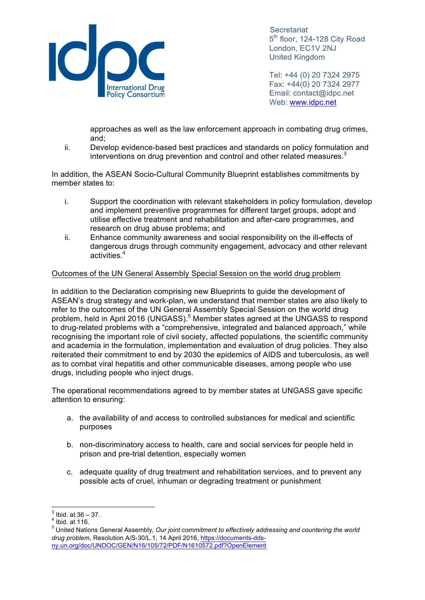

Tel: +44 (0) 20 7324 2975 Fax: +44(0) 20 7324 2977 Email: contact@idpc.net Web: www.idpc.net

approaches as well as the law enforcement approach in combating drug crimes, and;

ii. Develop evidence-based best practices and standards on policy formulation and interventions on drug prevention and control and other related measures.<sup>3</sup>

In addition, the ASEAN Socio-Cultural Community Blueprint establishes commitments by member states to:

- i. Support the coordination with relevant stakeholders in policy formulation, develop and implement preventive programmes for different target groups, adopt and utilise effective treatment and rehabilitation and after-care programmes, and research on drug abuse problems; and
- ii. Enhance community awareness and social responsibility on the ill-effects of dangerous drugs through community engagement, advocacy and other relevant activities.<sup>4</sup>

## Outcomes of the UN General Assembly Special Session on the world drug problem

In addition to the Declaration comprising new Blueprints to guide the development of ASEAN's drug strategy and work-plan, we understand that member states are also likely to refer to the outcomes of the UN General Assembly Special Session on the world drug problem, held in April 2016 (UNGASS).<sup>5</sup> Member states agreed at the UNGASS to respond to drug-related problems with a "comprehensive, integrated and balanced approach," while recognising the important role of civil society, affected populations, the scientific community and academia in the formulation, implementation and evaluation of drug policies. They also reiterated their commitment to end by 2030 the epidemics of AIDS and tuberculosis, as well as to combat viral hepatitis and other communicable diseases, among people who use drugs, including people who inject drugs.

The operational recommendations agreed to by member states at UNGASS gave specific attention to ensuring:

- a. the availability of and access to controlled substances for medical and scientific purposes
- b. non-discriminatory access to health, care and social services for people held in prison and pre-trial detention, especially women
- c. adequate quality of drug treatment and rehabilitation services, and to prevent any possible acts of cruel, inhuman or degrading treatment or punishment

 $\frac{3}{4}$  Ibid. at 36 – 37.<br> $\frac{4}{4}$  Ibid. at 116.

<sup>5</sup> United Nations General Assembly*, Our joint commitment to effectively addressing and countering the world drug problem*, Resolution A/S-30/L.1, 14 April 2016, https://documents-ddsny.un.org/doc/UNDOC/GEN/N16/105/72/PDF/N1610572.pdf?OpenElement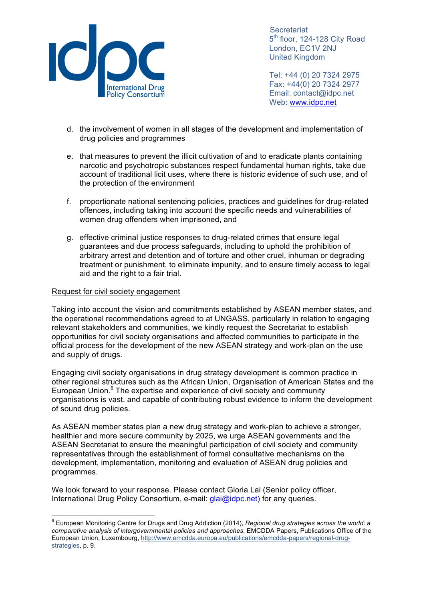

Tel: +44 (0) 20 7324 2975 Fax: +44(0) 20 7324 2977 Email: contact@idpc.net Web: www.idpc.net

- d. the involvement of women in all stages of the development and implementation of drug policies and programmes
- e. that measures to prevent the illicit cultivation of and to eradicate plants containing narcotic and psychotropic substances respect fundamental human rights, take due account of traditional licit uses, where there is historic evidence of such use, and of the protection of the environment
- f. proportionate national sentencing policies, practices and guidelines for drug-related offences, including taking into account the specific needs and vulnerabilities of women drug offenders when imprisoned, and
- g. effective criminal justice responses to drug-related crimes that ensure legal guarantees and due process safeguards, including to uphold the prohibition of arbitrary arrest and detention and of torture and other cruel, inhuman or degrading treatment or punishment, to eliminate impunity, and to ensure timely access to legal aid and the right to a fair trial.

## Request for civil society engagement

Taking into account the vision and commitments established by ASEAN member states, and the operational recommendations agreed to at UNGASS, particularly in relation to engaging relevant stakeholders and communities, we kindly request the Secretariat to establish opportunities for civil society organisations and affected communities to participate in the official process for the development of the new ASEAN strategy and work-plan on the use and supply of drugs.

Engaging civil society organisations in drug strategy development is common practice in other regional structures such as the African Union, Organisation of American States and the European Union.<sup>6</sup> The expertise and experience of civil society and community organisations is vast, and capable of contributing robust evidence to inform the development of sound drug policies.

As ASEAN member states plan a new drug strategy and work-plan to achieve a stronger, healthier and more secure community by 2025, we urge ASEAN governments and the ASEAN Secretariat to ensure the meaningful participation of civil society and community representatives through the establishment of formal consultative mechanisms on the development, implementation, monitoring and evaluation of ASEAN drug policies and programmes.

We look forward to your response. Please contact Gloria Lai (Senior policy officer, International Drug Policy Consortium, e-mail: glai@idpc.net) for any queries.

<sup>6</sup> European Monitoring Centre for Drugs and Drug Addiction (2014), *Regional drug strategies across the world*: *<sup>a</sup> comparative analysis of intergovernmental policies and approaches*, EMCDDA Papers, Publications Office of the European Union, Luxembourg, http://www.emcdda.europa.eu/publications/emcdda-papers/regional-drugstrategies, p. 9.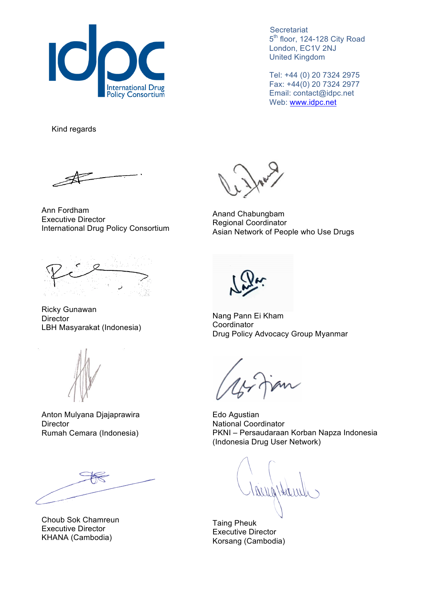

Tel: +44 (0) 20 7324 2975 Fax: +44(0) 20 7324 2977 Email: contact@idpc.net Web: www.idpc.net

Kind regards

Ann Fordham Executive Director International Drug Policy Consortium



Ricky Gunawan **Director** LBH Masyarakat (Indonesia)



Anton Mulyana Djajaprawira **Director** Rumah Cemara (Indonesia)

Choub Sok Chamreun Executive Director KHANA (Cambodia)

Anand Chabungbam Regional Coordinator Asian Network of People who Use Drugs

Nang Pann Ei Kham **Coordinator** Drug Policy Advocacy Group Myanmar

Edo Agustian National Coordinator PKNI – Persaudaraan Korban Napza Indonesia (Indonesia Drug User Network)

Harry

Taing Pheuk Executive Director Korsang (Cambodia)